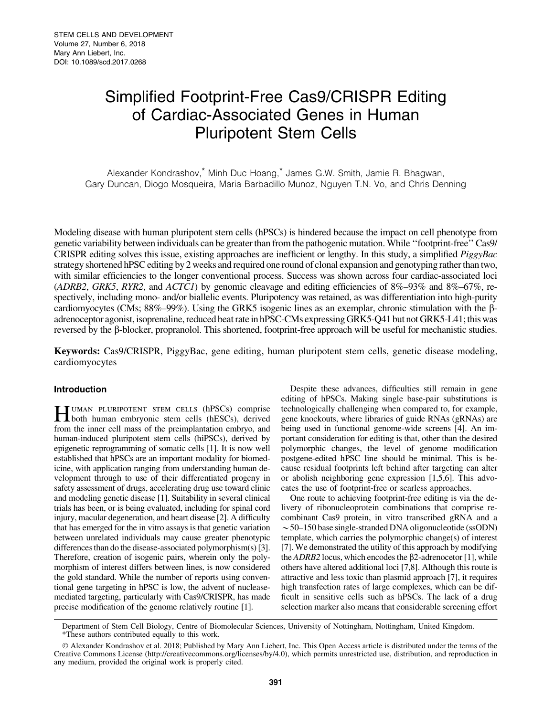# Simplified Footprint-Free Cas9/CRISPR Editing of Cardiac-Associated Genes in Human Pluripotent Stem Cells

Alexander Kondrashov,\* Minh Duc Hoang,\* James G.W. Smith, Jamie R. Bhagwan, Gary Duncan, Diogo Mosqueira, Maria Barbadillo Munoz, Nguyen T.N. Vo, and Chris Denning

Modeling disease with human pluripotent stem cells (hPSCs) is hindered because the impact on cell phenotype from genetic variability between individuals can be greater than from the pathogenic mutation. While ''footprint-free'' Cas9/ CRISPR editing solves this issue, existing approaches are inefficient or lengthy. In this study, a simplified *PiggyBac* strategy shortened hPSC editing by 2 weeks and required one round of clonal expansion and genotyping rather than two, with similar efficiencies to the longer conventional process. Success was shown across four cardiac-associated loci (*ADRB2*, *GRK5*, *RYR2*, and *ACTC1*) by genomic cleavage and editing efficiencies of 8%–93% and 8%–67%, respectively, including mono- and/or biallelic events. Pluripotency was retained, as was differentiation into high-purity cardiomyocytes (CMs;  $88\%$ –99%). Using the GRK5 isogenic lines as an exemplar, chronic stimulation with the  $\beta$ adrenoceptor agonist, isoprenaline, reduced beat rate in hPSC-CMs expressing GRK5-Q41 but not GRK5-L41; this was reversed by the  $\beta$ -blocker, propranolol. This shortened, footprint-free approach will be useful for mechanistic studies.

Keywords: Cas9/CRISPR, PiggyBac, gene editing, human pluripotent stem cells, genetic disease modeling, cardiomyocytes

#### Introduction

HUMAN PLURIPOTENT STEM CELLS (hPSCs) comprise<br>both human embryonic stem cells (hESCs), derived from the inner cell mass of the preimplantation embryo, and human-induced pluripotent stem cells (hiPSCs), derived by epigenetic reprogramming of somatic cells [1]. It is now well established that hPSCs are an important modality for biomedicine, with application ranging from understanding human development through to use of their differentiated progeny in safety assessment of drugs, accelerating drug use toward clinic and modeling genetic disease [1]. Suitability in several clinical trials has been, or is being evaluated, including for spinal cord injury, macular degeneration, and heart disease [2]. A difficulty that has emerged for the in vitro assays is that genetic variation between unrelated individuals may cause greater phenotypic differences than do the disease-associated polymorphism(s) [3]. Therefore, creation of isogenic pairs, wherein only the polymorphism of interest differs between lines, is now considered the gold standard. While the number of reports using conventional gene targeting in hPSC is low, the advent of nucleasemediated targeting, particularly with Cas9/CRISPR, has made precise modification of the genome relatively routine [1].

Despite these advances, difficulties still remain in gene editing of hPSCs. Making single base-pair substitutions is technologically challenging when compared to, for example, gene knockouts, where libraries of guide RNAs (gRNAs) are being used in functional genome-wide screens [4]. An important consideration for editing is that, other than the desired polymorphic changes, the level of genome modification postgene-edited hPSC line should be minimal. This is because residual footprints left behind after targeting can alter or abolish neighboring gene expression [1,5,6]. This advocates the use of footprint-free or scarless approaches.

One route to achieving footprint-free editing is via the delivery of ribonucleoprotein combinations that comprise recombinant Cas9 protein, in vitro transcribed gRNA and a  $\sim$  50–150 base single-stranded DNA oligonucleotide (ssODN) template, which carries the polymorphic change(s) of interest [7]. We demonstrated the utility of this approach by modifying the  $ADRB2$  locus, which encodes the  $\beta$ 2-adrenocetor [1], while others have altered additional loci [7,8]. Although this route is attractive and less toxic than plasmid approach [7], it requires high transfection rates of large complexes, which can be difficult in sensitive cells such as hPSCs. The lack of a drug selection marker also means that considerable screening effort

Department of Stem Cell Biology, Centre of Biomolecular Sciences, University of Nottingham, Nottingham, United Kingdom. \*These authors contributed equally to this work.

<sup>-</sup> Alexander Kondrashov et al. 2018; Published by Mary Ann Liebert, Inc. This Open Access article is distributed under the terms of the Creative Commons License (http://creativecommons.org/licenses/by/4.0), which permits unrestricted use, distribution, and reproduction in any medium, provided the original work is properly cited.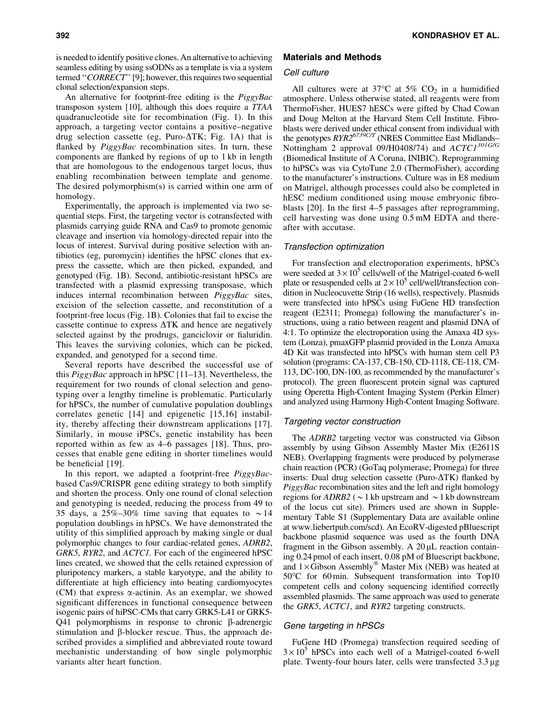is needed to identify positive clones. An alternative to achieving seamless editing by using ssODNs as a template is via a system termed ''*CORRECT*'' [9]; however, this requires two sequential clonal selection/expansion steps.

An alternative for footprint-free editing is the *PiggyBac* transposon system [10], although this does require a *TTAA* quadranucleotide site for recombination (Fig. 1). In this approach, a targeting vector contains a positive–negative drug selection cassette (eg, Puro- $\Delta$ TK; Fig. 1A) that is flanked by *PiggyBac* recombination sites. In turn, these components are flanked by regions of up to 1 kb in length that are homologous to the endogenous target locus, thus enabling recombination between template and genome. The desired polymorphism(s) is carried within one arm of homology.

Experimentally, the approach is implemented via two sequential steps. First, the targeting vector is cotransfected with plasmids carrying guide RNA and Cas9 to promote genomic cleavage and insertion via homology-directed repair into the locus of interest. Survival during positive selection with antibiotics (eg, puromycin) identifies the hPSC clones that express the cassette, which are then picked, expanded, and genotyped (Fig. 1B). Second, antibiotic-resistant hPSCs are transfected with a plasmid expressing transposase, which induces internal recombination between *PiggyBac* sites, excision of the selection cassette, and reconstitution of a footprint-free locus (Fig. 1B). Colonies that fail to excise the cassette continue to express  $\Delta$ TK and hence are negatively selected against by the prodrugs, ganciclovir or fialuridin. This leaves the surviving colonies, which can be picked, expanded, and genotyped for a second time.

Several reports have described the successful use of this *PiggyBac* approach in hPSC [11–13]. Nevertheless, the requirement for two rounds of clonal selection and genotyping over a lengthy timeline is problematic. Particularly for hPSCs, the number of cumulative population doublings correlates genetic [14] and epigenetic [15,16] instability, thereby affecting their downstream applications [17]. Similarly, in mouse iPSCs, genetic instability has been reported within as few as 4–6 passages [18]. Thus, processes that enable gene editing in shorter timelines would be beneficial [19].

In this report, we adapted a footprint-free *PiggyBac*based Cas9/CRISPR gene editing strategy to both simplify and shorten the process. Only one round of clonal selection and genotyping is needed, reducing the process from 49 to 35 days, a 25%–30% time saving that equates to  $\sim$  14 population doublings in hPSCs. We have demonstrated the utility of this simplified approach by making single or dual polymorphic changes to four cardiac-related genes, *ADRB2*, *GRK5*, *RYR2*, and *ACTC1.* For each of the engineered hPSC lines created, we showed that the cells retained expression of pluripotency markers, a stable karyotype, and the ability to differentiate at high efficiency into beating cardiomyocytes (CM) that express  $\alpha$ -actinin. As an exemplar, we showed significant differences in functional consequence between isogenic pairs of hiPSC-CMs that carry GRK5-L41 or GRK5- Q41 polymorphisms in response to chronic  $\beta$ -adrenergic stimulation and  $\beta$ -blocker rescue. Thus, the approach described provides a simplified and abbreviated route toward mechanistic understanding of how single polymorphic variants alter heart function.

#### Materials and Methods

## Cell culture

All cultures were at 37°C at 5%  $CO<sub>2</sub>$  in a humidified atmosphere. Unless otherwise stated, all reagents were from ThermoFisher. HUES7 hESCs were gifted by Chad Cowan and Doug Melton at the Harvard Stem Cell Institute. Fibroblasts were derived under ethical consent from individual with the genotypes  $RYR2^{6739C/T}$  (NRES Committee East Midlands– Nottingham 2 approval 09/H0408/74) and *ACTC1301G/G* (Biomedical Institute of A Coruna, INIBIC). Reprogramming to hiPSCs was via CytoTune 2.0 (ThermoFisher), according to the manufacturer's instructions. Culture was in E8 medium on Matrigel, although processes could also be completed in hESC medium conditioned using mouse embryonic fibroblasts [20]. In the first 4–5 passages after reprogramming, cell harvesting was done using 0.5 mM EDTA and thereafter with accutase.

#### Transfection optimization

For transfection and electroporation experiments, hPSCs were seeded at  $3 \times 10^5$  cells/well of the Matrigel-coated 6-well plate or resuspended cells at  $2 \times 10^5$  cell/well/transfection condition in Nucleocuvette Strip (16 wells), respectively. Plasmids were transfected into hPSCs using FuGene HD transfection reagent (E2311; Promega) following the manufacturer's instructions, using a ratio between reagent and plasmid DNA of 4:1. To optimize the electroporation using the Amaxa 4D system (Lonza), pmaxGFP plasmid provided in the Lonza Amaxa 4D Kit was transfected into hPSCs with human stem cell P3 solution (programs: CA-137, CB-150, CD-1118, CE-118, CM-113, DC-100, DN-100, as recommended by the manufacturer's protocol). The green fluorescent protein signal was captured using Operetta High-Content Imaging System (Perkin Elmer) and analyzed using Harmony High-Content Imaging Software.

#### Targeting vector construction

The *ADRB2* targeting vector was constructed via Gibson assembly by using Gibson Assembly Master Mix (E2611S NEB). Overlapping fragments were produced by polymerase chain reaction (PCR) (GoTaq polymerase; Promega) for three inserts: Dual drug selection cassette (Puro- $\Delta$ TK) flanked by *PiggyBac* recombination sites and the left and right homology regions for  $ADRB2$  ( $\sim$ 1 kb upstream and  $\sim$ 1 kb downstream of the locus cut site). Primers used are shown in Supplementary Table S1 (Supplementary Data are available online at www.liebertpub.com/scd). An EcoRV-digested pBluescript backbone plasmid sequence was used as the fourth DNA fragment in the Gibson assembly. A  $20 \mu L$  reaction containing 0.24 pmol of each insert, 0.08 pM of Bluescript backbone, and  $1 \times$  Gibson Assembly<sup>®</sup> Master Mix (NEB) was heated at 50°C for 60 min. Subsequent transformation into Top10 competent cells and colony sequencing identified correctly assembled plasmids. The same approach was used to generate the *GRK5*, *ACTC1*, and *RYR2* targeting constructs.

## Gene targeting in hPSCs

FuGene HD (Promega) transfection required seeding of  $3 \times 10^5$  hPSCs into each well of a Matrigel-coated 6-well plate. Twenty-four hours later, cells were transfected  $3.3 \mu$ g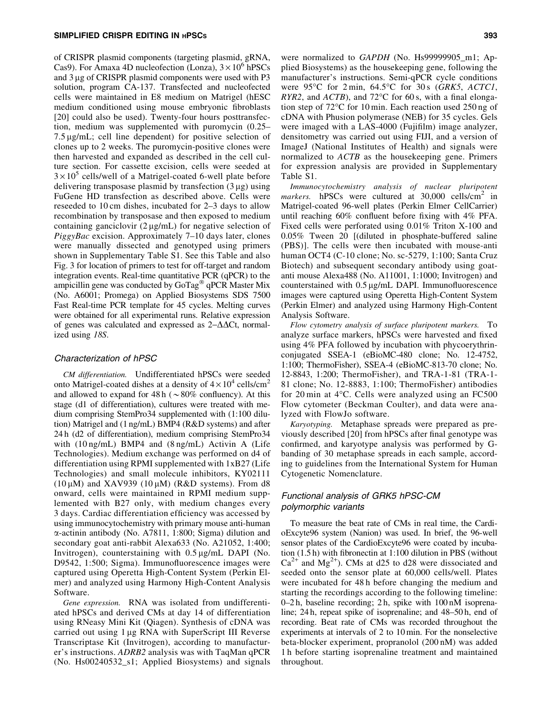of CRISPR plasmid components (targeting plasmid, gRNA, Cas9). For Amaxa 4D nucleofection (Lonza),  $3 \times 10^6$  hPSCs and  $3 \mu$ g of CRISPR plasmid components were used with P $3$ solution, program CA-137. Transfected and nucleofected cells were maintained in E8 medium on Matrigel (hESC medium conditioned using mouse embryonic fibroblasts [20] could also be used). Twenty-four hours posttransfection, medium was supplemented with puromycin (0.25–  $7.5 \mu$ g/mL; cell line dependent) for positive selection of clones up to 2 weeks. The puromycin-positive clones were then harvested and expanded as described in the cell culture section. For cassette excision, cells were seeded at  $3 \times 10^5$  cells/well of a Matrigel-coated 6-well plate before delivering transposase plasmid by transfection  $(3 \mu g)$  using FuGene HD transfection as described above. Cells were reseeded to 10 cm dishes, incubated for 2–3 days to allow recombination by transposase and then exposed to medium containing ganciclovir  $(2 \mu g/mL)$  for negative selection of *PiggyBac* excision. Approximately 7–10 days later, clones were manually dissected and genotyped using primers shown in Supplementary Table S1. See this Table and also Fig. 3 for location of primers to test for off-target and random integration events. Real-time quantitative PCR (qPCR) to the ampicillin gene was conducted by  $GoTag^{\otimes} qPCR$  Master Mix (No. A6001; Promega) on Applied Biosystems SDS 7500 Fast Real-time PCR template for 45 cycles. Melting curves were obtained for all experimental runs. Relative expression of genes was calculated and expressed as  $2-\Delta\Delta$ Ct, normalized using *18S*.

## Characterization of hPSC

*CM differentiation.* Undifferentiated hPSCs were seeded onto Matrigel-coated dishes at a density of  $4 \times 10^4$  cells/cm<sup>2</sup> and allowed to expand for  $48 h (~80\%$  confluency). At this stage (d1 of differentiation), cultures were treated with medium comprising StemPro34 supplemented with (1:100 dilution) Matrigel and (1 ng/mL) BMP4 (R&D systems) and after 24 h (d2 of differentiation), medium comprising StemPro34 with (10 ng/mL) BMP4 and (8 ng/mL) Activin A (Life Technologies). Medium exchange was performed on d4 of differentiation using RPMI supplemented with 1xB27 (Life Technologies) and small molecule inhibitors, KY02111  $(10 \mu M)$  and XAV939  $(10 \mu M)$  (R&D systems). From d8 onward, cells were maintained in RPMI medium supplemented with B27 only, with medium changes every 3 days. Cardiac differentiation efficiency was accessed by using immunocytochemistry with primary mouse anti-human  $\alpha$ -actinin antibody (No. A7811, 1:800; Sigma) dilution and secondary goat anti-rabbit Alexa633 (No. A21052, 1:400; Invitrogen), counterstaining with  $0.5 \mu$ g/mL DAPI (No. D9542, 1:500; Sigma). Immunofluorescence images were captured using Operetta High-Content System (Perkin Elmer) and analyzed using Harmony High-Content Analysis Software.

*Gene expression.* RNA was isolated from undifferentiated hPSCs and derived CMs at day 14 of differentiation using RNeasy Mini Kit (Qiagen). Synthesis of cDNA was carried out using 1 µg RNA with SuperScript III Reverse Transcriptase Kit (Invitrogen), according to manufacturer's instructions. *ADRB2* analysis was with TaqMan qPCR (No. Hs00240532\_s1; Applied Biosystems) and signals were normalized to *GAPDH* (No. Hs99999905 m1; Applied Biosystems) as the housekeeping gene, following the manufacturer's instructions. Semi-qPCR cycle conditions were 95C for 2 min, 64.5C for 30 s (*GRK5*, *ACTC1*, *RYR2*, and *ACTB*), and  $72^{\circ}$ C for 60 s, with a final elongation step of  $72^{\circ}$ C for 10 min. Each reaction used  $250$  ng of cDNA with Phusion polymerase (NEB) for 35 cycles. Gels were imaged with a LAS-4000 (Fujifilm) image analyzer, densitometry was carried out using FIJI, and a version of ImageJ (National Institutes of Health) and signals were normalized to *ACTB* as the housekeeping gene. Primers for expression analysis are provided in Supplementary Table S1.

*Immunocytochemistry analysis of nuclear pluripotent markers.* hPSCs were cultured at 30,000 cells/cm<sup>2</sup> in Matrigel-coated 96-well plates (Perkin Elmer CellCarrier) until reaching 60% confluent before fixing with 4% PFA. Fixed cells were perforated using 0.01% Triton X-100 and 0.05% Tween 20 [(diluted in phosphate-buffered saline (PBS)]. The cells were then incubated with mouse-anti human OCT4 (C-10 clone; No. sc-5279, 1:100; Santa Cruz Biotech) and subsequent secondary antibody using goatanti mouse Alexa488 (No. A11001, 1:1000; Invitrogen) and counterstained with  $0.5 \mu g/mL$  DAPI. Immunofluorescence images were captured using Operetta High-Content System (Perkin Elmer) and analyzed using Harmony High-Content Analysis Software.

*Flow cytometry analysis of surface pluripotent markers.* To analyze surface markers, hPSCs were harvested and fixed using 4% PFA followed by incubation with phycoerythrinconjugated SSEA-1 (eBioMC-480 clone; No. 12-4752, 1:100; ThermoFisher), SSEA-4 (eBioMC-813-70 clone; No. 12-8843, 1:200; ThermoFisher), and TRA-1-81 (TRA-1- 81 clone; No. 12-8883, 1:100; ThermoFisher) antibodies for 20 min at  $4^{\circ}$ C. Cells were analyzed using an FC500 Flow cytometer (Beckman Coulter), and data were analyzed with FlowJo software.

*Karyotyping.* Metaphase spreads were prepared as previously described [20] from hPSCs after final genotype was confirmed, and karyotype analysis was performed by Gbanding of 30 metaphase spreads in each sample, according to guidelines from the International System for Human Cytogenetic Nomenclature.

## Functional analysis of GRK5 hPSC-CM polymorphic variants

To measure the beat rate of CMs in real time, the CardioExcyte96 system (Nanion) was used. In brief, the 96-well sensor plates of the CardioExcyte96 were coated by incubation (1.5 h) with fibronectin at 1:100 dilution in PBS (without  $Ca^{2+}$  and  $Mg^{2+}$ ). CMs at d25 to d28 were dissociated and seeded onto the sensor plate at 60,000 cells/well. Plates were incubated for 48 h before changing the medium and starting the recordings according to the following timeline: 0–2 h, baseline recording; 2 h, spike with 100 nM isoprenaline; 24 h, repeat spike of isoprenaline; and 48–50 h, end of recording. Beat rate of CMs was recorded throughout the experiments at intervals of 2 to 10 min. For the nonselective beta-blocker experiment, propranolol (200 nM) was added 1 h before starting isoprenaline treatment and maintained throughout.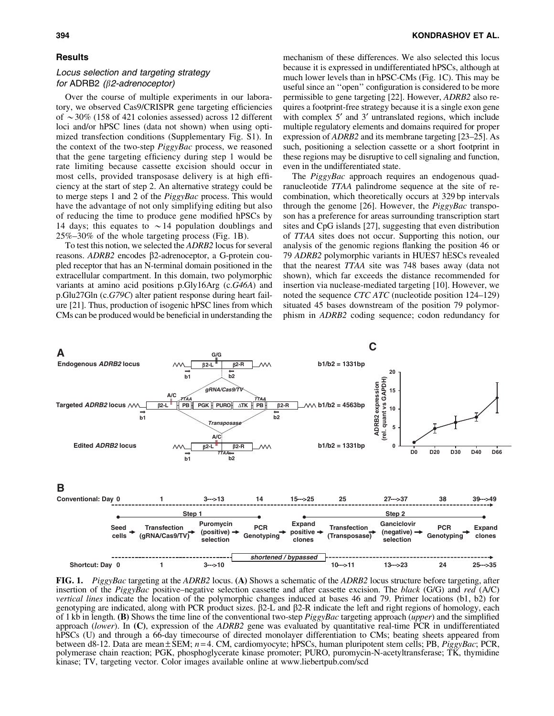#### **Results**

## Locus selection and targeting strategy for ADRB2  $(\beta$ 2-adrenoceptor)

Over the course of multiple experiments in our laboratory, we observed Cas9/CRISPR gene targeting efficiencies of  $\sim$  30% (158 of 421 colonies assessed) across 12 different loci and/or hPSC lines (data not shown) when using optimized transfection conditions (Supplementary Fig. S1). In the context of the two-step *PiggyBac* process, we reasoned that the gene targeting efficiency during step 1 would be rate limiting because cassette excision should occur in most cells, provided transposase delivery is at high efficiency at the start of step 2. An alternative strategy could be to merge steps 1 and 2 of the *PiggyBac* process. This would have the advantage of not only simplifying editing but also of reducing the time to produce gene modified hPSCs by 14 days; this equates to  $\sim$  14 population doublings and 25%–30% of the whole targeting process (Fig. 1B).

To test this notion, we selected the *ADRB2* locus for several reasons. *ADRB2* encodes  $\beta$ 2-adrenoceptor, a G-protein coupled receptor that has an N-terminal domain positioned in the extracellular compartment. In this domain, two polymorphic variants at amino acid positions p.Gly16Arg (c.*G46A*) and p.Glu27Gln (c.*G79C*) alter patient response during heart failure [21]. Thus, production of isogenic hPSC lines from which CMs can be produced would be beneficial in understanding the mechanism of these differences. We also selected this locus because it is expressed in undifferentiated hPSCs, although at much lower levels than in hPSC-CMs (Fig. 1C). This may be useful since an ''open'' configuration is considered to be more permissible to gene targeting [22]. However, *ADRB2* also requires a footprint-free strategy because it is a single exon gene with complex  $5'$  and  $3'$  untranslated regions, which include multiple regulatory elements and domains required for proper expression of *ADRB2* and its membrane targeting [23–25]. As such, positioning a selection cassette or a short footprint in these regions may be disruptive to cell signaling and function, even in the undifferentiated state.

The *PiggyBac* approach requires an endogenous quadranucleotide *TTAA* palindrome sequence at the site of recombination, which theoretically occurs at 329 bp intervals through the genome [26]. However, the *PiggyBac* transposon has a preference for areas surrounding transcription start sites and CpG islands [27], suggesting that even distribution of *TTAA* sites does not occur. Supporting this notion, our analysis of the genomic regions flanking the position 46 or 79 *ADRB2* polymorphic variants in HUES7 hESCs revealed that the nearest *TTAA* site was 748 bases away (data not shown), which far exceeds the distance recommended for insertion via nuclease-mediated targeting [10]. However, we noted the sequence *CTC ATC* (nucleotide position 124–129) situated 45 bases downstream of the position 79 polymorphism in *ADRB2* coding sequence; codon redundancy for



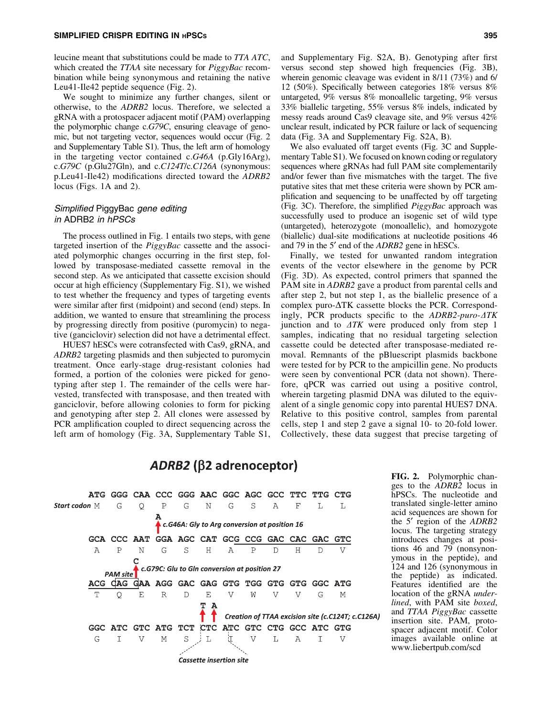leucine meant that substitutions could be made to *TTA ATC*, which created the *TTAA* site necessary for *PiggyBac* recombination while being synonymous and retaining the native Leu41-Ile42 peptide sequence (Fig. 2).

We sought to minimize any further changes, silent or otherwise, to the *ADRB2* locus. Therefore, we selected a gRNA with a protospacer adjacent motif (PAM) overlapping the polymorphic change c.*G79C*, ensuring cleavage of genomic, but not targeting vector, sequences would occur (Fig. 2 and Supplementary Table S1). Thus, the left arm of homology in the targeting vector contained c.*G46A* (p.Gly16Arg), c.*G79C* (p.Glu27Gln), and c.*C124T*/c.*C126A* (synonymous: p.Leu41-Ile42) modifications directed toward the *ADRB2* locus (Figs. 1A and 2).

## Simplified PiggyBac gene editing in ADRB2 in hPSCs

The process outlined in Fig. 1 entails two steps, with gene targeted insertion of the *PiggyBac* cassette and the associated polymorphic changes occurring in the first step, followed by transposase-mediated cassette removal in the second step. As we anticipated that cassette excision should occur at high efficiency (Supplementary Fig. S1), we wished to test whether the frequency and types of targeting events were similar after first (midpoint) and second (end) steps. In addition, we wanted to ensure that streamlining the process by progressing directly from positive (puromycin) to negative (ganciclovir) selection did not have a detrimental effect.

HUES7 hESCs were cotransfected with Cas9, gRNA, and *ADRB2* targeting plasmids and then subjected to puromycin treatment. Once early-stage drug-resistant colonies had formed, a portion of the colonies were picked for genotyping after step 1. The remainder of the cells were harvested, transfected with transposase, and then treated with ganciclovir, before allowing colonies to form for picking and genotyping after step 2. All clones were assessed by PCR amplification coupled to direct sequencing across the left arm of homology (Fig. 3A, Supplementary Table S1,

and Supplementary Fig. S2A, B). Genotyping after first versus second step showed high frequencies (Fig. 3B), wherein genomic cleavage was evident in 8/11 (73%) and 6/ 12 (50%). Specifically between categories 18% versus 8% untargeted, 9% versus 8% monoallelic targeting, 9% versus 33% biallelic targeting, 55% versus 8% indels, indicated by messy reads around Cas9 cleavage site, and 9% versus 42% unclear result, indicated by PCR failure or lack of sequencing data (Fig. 3A and Supplementary Fig. S2A, B).

We also evaluated off target events (Fig. 3C and Supplementary Table S1). We focused on known coding or regulatory sequences where gRNAs had full PAM site complementarily and/or fewer than five mismatches with the target. The five putative sites that met these criteria were shown by PCR amplification and sequencing to be unaffected by off targeting (Fig. 3C). Therefore, the simplified *PiggyBac* approach was successfully used to produce an isogenic set of wild type (untargeted), heterozygote (monoallelic), and homozygote (biallelic) dual-site modifications at nucleotide positions 46 and 79 in the 5' end of the *ADRB2* gene in hESCs.

Finally, we tested for unwanted random integration events of the vector elsewhere in the genome by PCR (Fig. 3D). As expected, control primers that spanned the PAM site in *ADRB2* gave a product from parental cells and after step 2, but not step 1, as the biallelic presence of a complex puro- $\Delta$ TK cassette blocks the PCR. Correspondingly, PCR products specific to the *ADRB2-puro-* $\Delta TK$ junction and to  $\Delta TK$  were produced only from step 1 samples, indicating that no residual targeting selection cassette could be detected after transposase-mediated removal. Remnants of the pBluescript plasmids backbone were tested for by PCR to the ampicillin gene. No products were seen by conventional PCR (data not shown). Therefore, qPCR was carried out using a positive control, wherein targeting plasmid DNA was diluted to the equivalent of a single genomic copy into parental HUES7 DNA. Relative to this positive control, samples from parental cells, step 1 and step 2 gave a signal 10- to 20-fold lower. Collectively, these data suggest that precise targeting of

## $ADRB2$  ( $\beta$ 2 adrenoceptor)



FIG. 2. Polymorphic changes to the *ADRB2* locus in hPSCs. The nucleotide and translated single-letter amino acid sequences are shown for the 5¢ region of the *ADRB2* locus. The targeting strategy introduces changes at positions 46 and 79 (nonsynonymous in the peptide), and 124 and 126 (synonymous in the peptide) as indicated. Features identified are the location of the gRNA *underlined*, with PAM site *boxed*, and *TTAA PiggyBac* cassette insertion site. PAM, protospacer adjacent motif. Color images available online at www.liebertpub.com/scd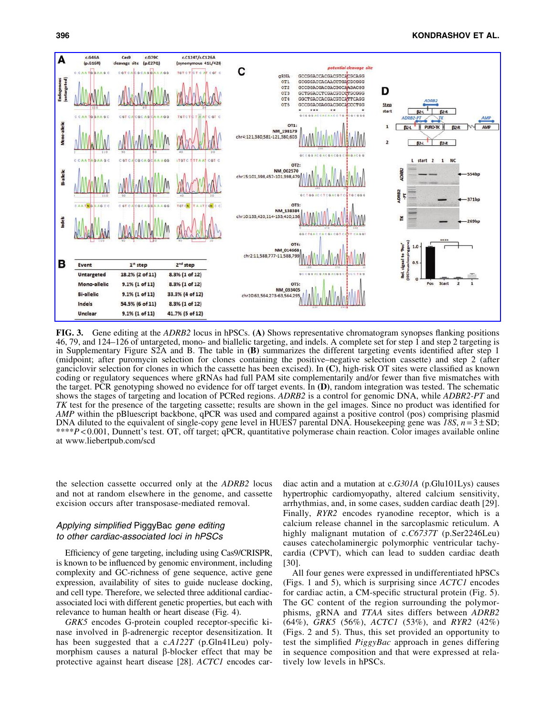

FIG. 3. Gene editing at the *ADRB2* locus in hPSCs. (A) Shows representative chromatogram synopses flanking positions 46, 79, and 124–126 of untargeted, mono- and biallelic targeting, and indels. A complete set for step 1 and step 2 targeting is in Supplementary Figure S2A and B. The table in (B) summarizes the different targeting events identified after step 1 (midpoint; after puromycin selection for clones containing the positive–negative selection cassette) and step 2 (after ganciclovir selection for clones in which the cassette has been excised). In (C), high-risk OT sites were classified as known coding or regulatory sequences where gRNAs had full PAM site complementarily and/or fewer than five mismatches with the target. PCR genotyping showed no evidence for off target events. In (D), random integration was tested. The schematic shows the stages of targeting and location of PCRed regions. *ADRB2* is a control for genomic DNA, while *ADBR2-PT* and *TK* test for the presence of the targeting cassette; results are shown in the gel images. Since no product was identified for *AMP* within the pBluescript backbone, qPCR was used and compared against a positive control (pos) comprising plasmid DNA diluted to the equivalent of single-copy gene level in HUES7 parental DNA. Housekeeping gene was *18S*, *n* = 3 – SD; \*\*\*\**P* < 0.001, Dunnett's test. OT, off target; qPCR, quantitative polymerase chain reaction. Color images available online at www.liebertpub.com/scd

the selection cassette occurred only at the *ADRB2* locus and not at random elsewhere in the genome, and cassette excision occurs after transposase-mediated removal.

## Applying simplified PiggyBac gene editing to other cardiac-associated loci in hPSCs

Efficiency of gene targeting, including using Cas9/CRISPR, is known to be influenced by genomic environment, including complexity and GC-richness of gene sequence, active gene expression, availability of sites to guide nuclease docking, and cell type. Therefore, we selected three additional cardiacassociated loci with different genetic properties, but each with relevance to human health or heart disease (Fig. 4).

*GRK5* encodes G-protein coupled receptor-specific kinase involved in b-adrenergic receptor desensitization. It has been suggested that a c.*A122T* (p.Gln41Leu) polymorphism causes a natural  $\beta$ -blocker effect that may be protective against heart disease [28]. *ACTC1* encodes cardiac actin and a mutation at c.*G301A* (p.Glu101Lys) causes hypertrophic cardiomyopathy, altered calcium sensitivity, arrhythmias, and, in some cases, sudden cardiac death [29]. Finally, *RYR2* encodes ryanodine receptor, which is a calcium release channel in the sarcoplasmic reticulum. A highly malignant mutation of c.*C6737T* (p.Ser2246Leu) causes catecholaminergic polymorphic ventricular tachycardia (CPVT), which can lead to sudden cardiac death [30].

All four genes were expressed in undifferentiated hPSCs (Figs. 1 and 5), which is surprising since *ACTC1* encodes for cardiac actin, a CM-specific structural protein (Fig. 5). The GC content of the region surrounding the polymorphisms, gRNA and *TTAA* sites differs between *ADRB2* (64%), *GRK5* (56%), *ACTC1* (53%), and *RYR2* (42%) (Figs. 2 and 5). Thus, this set provided an opportunity to test the simplified *PiggyBac* approach in genes differing in sequence composition and that were expressed at relatively low levels in hPSCs.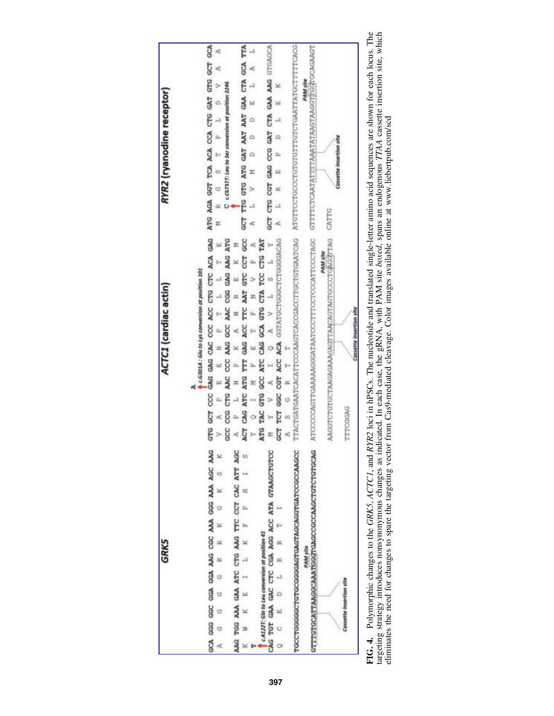

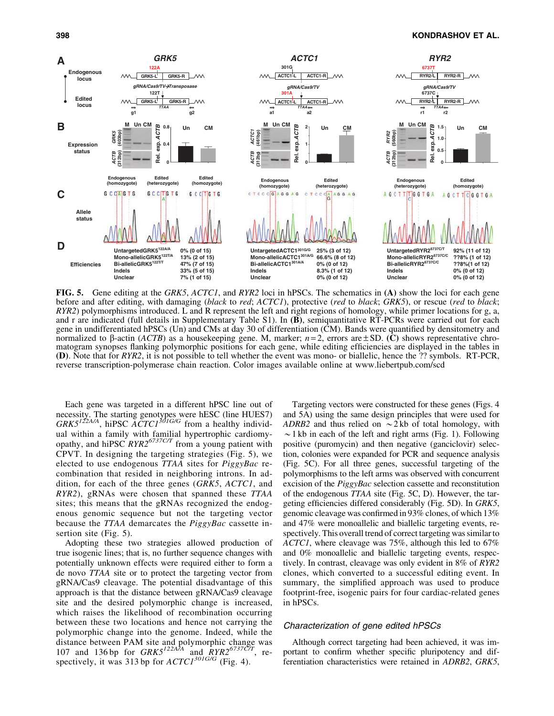

FIG. 5. Gene editing at the *GRK5*, *ACTC1*, and *RYR2* loci in hPSCs. The schematics in (A) show the loci for each gene before and after editing, with damaging (*black* to *red*; *ACTC1*), protective (*red* to *black*; *GRK5*), or rescue (*red* to *black*; *RYR2*) polymorphisms introduced. L and R represent the left and right regions of homology, while primer locations for g, a, and r are indicated (full details in Supplementary Table S1). In (B), semiquantitative RT-PCRs were carried out for each gene in undifferentiated hPSCs (Un) and CMs at day 30 of differentiation (CM). Bands were quantified by densitometry and normalized to  $\beta$ -actin (*ACTB*) as a housekeeping gene. M, marker;  $n=2$ , errors are  $\pm$  SD. (C) shows representative chromatogram synopses flanking polymorphic positions for each gene, while editing efficiencies are displayed in the tables in (D). Note that for *RYR2*, it is not possible to tell whether the event was mono- or biallelic, hence the ?? symbols. RT-PCR, reverse transcription-polymerase chain reaction. Color images available online at www.liebertpub.com/scd

Each gene was targeted in a different hPSC line out of necessity. The starting genotypes were hESC (line HUES7) *GRK5122A/A*, hiPSC *ACTC1301G/G* from a healthy individual within a family with familial hypertrophic cardiomyopathy, and hiPSC *RYR26737C/T* from a young patient with CPVT. In designing the targeting strategies (Fig. 5), we elected to use endogenous *TTAA* sites for *PiggyBac* recombination that resided in neighboring introns. In addition, for each of the three genes (*GRK5*, *ACTC1*, and *RYR2*), gRNAs were chosen that spanned these *TTAA* sites; this means that the gRNAs recognized the endogenous genomic sequence but not the targeting vector because the *TTAA* demarcates the *PiggyBac* cassette insertion site (Fig. 5).

Adopting these two strategies allowed production of true isogenic lines; that is, no further sequence changes with potentially unknown effects were required either to form a de novo *TTAA* site or to protect the targeting vector from gRNA/Cas9 cleavage. The potential disadvantage of this approach is that the distance between gRNA/Cas9 cleavage site and the desired polymorphic change is increased, which raises the likelihood of recombination occurring between these two locations and hence not carrying the polymorphic change into the genome. Indeed, while the distance between PAM site and polymorphic change was 107 and 136 bp for *GRK5122A/A* and *RYR26737C/T*, respectively, it was 313 bp for *ACTC1301G/G* (Fig. 4).

Targeting vectors were constructed for these genes (Figs. 4 and 5A) using the same design principles that were used for *ADRB2* and thus relied on  $\sim$  2 kb of total homology, with  $\sim$ 1 kb in each of the left and right arms (Fig. 1). Following positive (puromycin) and then negative (ganciclovir) selection, colonies were expanded for PCR and sequence analysis (Fig. 5C). For all three genes, successful targeting of the polymorphisms to the left arms was observed with concurrent excision of the *PiggyBac* selection cassette and reconstitution of the endogenous *TTAA* site (Fig. 5C, D). However, the targeting efficiencies differed considerably (Fig. 5D). In *GRK5*, genomic cleavage was confirmed in 93% clones, of which 13% and 47% were monoallelic and biallelic targeting events, respectively. This overall trend of correct targeting was similar to *ACTC1*, where cleavage was 75%, although this led to 67% and 0% monoallelic and biallelic targeting events, respectively. In contrast, cleavage was only evident in 8% of *RYR2* clones, which converted to a successful editing event. In summary, the simplified approach was used to produce footprint-free, isogenic pairs for four cardiac-related genes in hPSCs.

## Characterization of gene edited hPSCs

Although correct targeting had been achieved, it was important to confirm whether specific pluripotency and differentiation characteristics were retained in *ADRB2*, *GRK5*,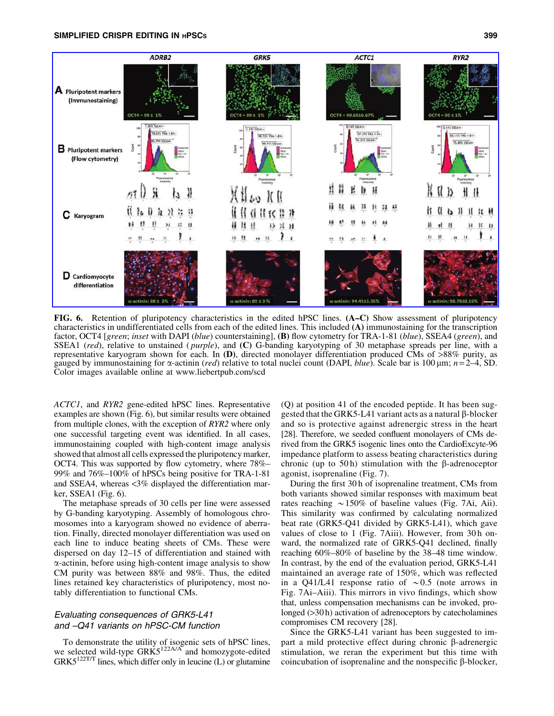



FIG. 6. Retention of pluripotency characteristics in the edited hPSC lines. (A–C) Show assessment of pluripotency characteristics in undifferentiated cells from each of the edited lines. This included (A) immunostaining for the transcription factor, OCT4 [*green*; *inset* with DAPI (*blue*) counterstaining], (B) flow cytometry for TRA-1-81 (*blue*), SSEA4 (*green*), and SSEA1 (*red*), relative to unstained ( *purple*), and (C) G-banding karyotyping of 30 metaphase spreads per line, with a representative karyogram shown for each. In  $(D)$ , directed monolayer differentiation produced CMs of  $>88\%$  purity, as gauged by immunostaining for  $\alpha$ -actinin (*red*) relative to total nuclei count (DAPI, *blue*). Scale bar is 100  $\mu$ m; *n* = 2–4, SD. Color images available online at www.liebertpub.com/scd

*ACTC1*, and *RYR2* gene-edited hPSC lines. Representative examples are shown (Fig. 6), but similar results were obtained from multiple clones, with the exception of *RYR2* where only one successful targeting event was identified. In all cases, immunostaining coupled with high-content image analysis showed that almost all cells expressed the pluripotency marker, OCT4. This was supported by flow cytometry, where 78%– 99% and 76%–100% of hPSCs being positive for TRA-1-81 and SSEA4, whereas <3% displayed the differentiation marker, SSEA1 (Fig. 6).

The metaphase spreads of 30 cells per line were assessed by G-banding karyotyping. Assembly of homologous chromosomes into a karyogram showed no evidence of aberration. Finally, directed monolayer differentiation was used on each line to induce beating sheets of CMs. These were dispersed on day 12–15 of differentiation and stained with  $\alpha$ -actinin, before using high-content image analysis to show CM purity was between 88% and 98%. Thus, the edited lines retained key characteristics of pluripotency, most notably differentiation to functional CMs.

## Evaluating consequences of GRK5-L41 and –Q41 variants on hPSC-CM function

To demonstrate the utility of isogenic sets of hPSC lines, we selected wild-type  $GRK5^{122A/A}$  and homozygote-edited  $GRK5^{122TT}$  lines, which differ only in leucine (L) or glutamine

(Q) at position 41 of the encoded peptide. It has been suggested that the GRK5-L41 variant acts as a natural  $\beta$ -blocker and so is protective against adrenergic stress in the heart [28]. Therefore, we seeded confluent monolayers of CMs derived from the GRK5 isogenic lines onto the CardioExcyte-96 impedance platform to assess beating characteristics during chronic (up to 50 h) stimulation with the  $\beta$ -adrenoceptor agonist, isoprenaline (Fig. 7).

During the first 30 h of isoprenaline treatment, CMs from both variants showed similar responses with maximum beat rates reaching  $\sim$  150% of baseline values (Fig. 7Ai, Aii). This similarity was confirmed by calculating normalized beat rate (GRK5-Q41 divided by GRK5-L41), which gave values of close to 1 (Fig. 7Aiii). However, from 30h onward, the normalized rate of GRK5-Q41 declined, finally reaching 60%–80% of baseline by the 38–48 time window. In contrast, by the end of the evaluation period, GRK5-L41 maintained an average rate of 150%, which was reflected in a Q41/L41 response ratio of  $\sim 0.5$  (note arrows in Fig. 7Ai–Aiii). This mirrors in vivo findings, which show that, unless compensation mechanisms can be invoked, prolonged ( $>30$ h) activation of adrenoceptors by catecholamines compromises CM recovery [28].

Since the GRK5-L41 variant has been suggested to impart a mild protective effect during chronic  $\beta$ -adrenergic stimulation, we reran the experiment but this time with coincubation of isoprenaline and the nonspecific  $\beta$ -blocker,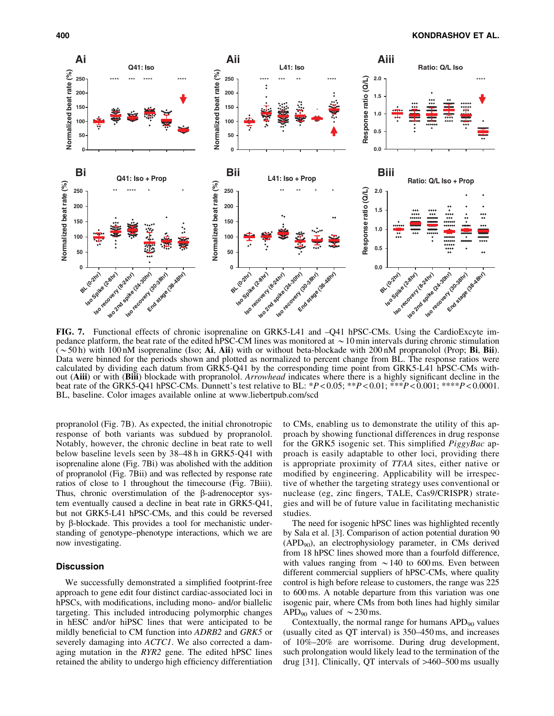

FIG. 7. Functional effects of chronic isoprenaline on GRK5-L41 and –Q41 hPSC-CMs. Using the CardioExcyte impedance platform, the beat rate of the edited hPSC-CM lines was monitored at  $\sim 10$  min intervals during chronic stimulation  $(\sim 50 \text{ h})$  with 100 nM isoprenaline (Iso; Ai, Aii) with or without beta-blockade with 200 nM propranolol (Prop; Bi, Bii). Data were binned for the periods shown and plotted as normalized to percent change from BL. The response ratios were calculated by dividing each datum from GRK5-Q41 by the corresponding time point from GRK5-L41 hPSC-CMs without (Aiii) or with (Biii) blockade with propranolol. *Arrowhead* indicates where there is a highly significant decline in the beat rate of the GRK5-Q41 hPSC-CMs. Dunnett's test relative to BL: \**P* < 0.05; \*\**P* < 0.01; \*\*\**P* < 0.001; \*\*\*\**P* < 0.0001. BL, baseline. Color images available online at www.liebertpub.com/scd

propranolol (Fig. 7B). As expected, the initial chronotropic response of both variants was subdued by propranolol. Notably, however, the chronic decline in beat rate to well below baseline levels seen by 38–48 h in GRK5-Q41 with isoprenaline alone (Fig. 7Bi) was abolished with the addition of propranolol (Fig. 7Bii) and was reflected by response rate ratios of close to 1 throughout the timecourse (Fig. 7Biii). Thus, chronic overstimulation of the  $\beta$ -adrenoceptor system eventually caused a decline in beat rate in GRK5-Q41, but not GRK5-L41 hPSC-CMs, and this could be reversed by  $\beta$ -blockade. This provides a tool for mechanistic understanding of genotype–phenotype interactions, which we are now investigating.

## **Discussion**

We successfully demonstrated a simplified footprint-free approach to gene edit four distinct cardiac-associated loci in hPSCs, with modifications, including mono- and/or biallelic targeting. This included introducing polymorphic changes in hESC and/or hiPSC lines that were anticipated to be mildly beneficial to CM function into *ADRB2* and *GRK5* or severely damaging into *ACTC1*. We also corrected a damaging mutation in the *RYR2* gene. The edited hPSC lines retained the ability to undergo high efficiency differentiation to CMs, enabling us to demonstrate the utility of this approach by showing functional differences in drug response for the GRK5 isogenic set. This simplified *PiggyBac* approach is easily adaptable to other loci, providing there is appropriate proximity of *TTAA* sites, either native or modified by engineering. Applicability will be irrespective of whether the targeting strategy uses conventional or nuclease (eg, zinc fingers, TALE, Cas9/CRISPR) strategies and will be of future value in facilitating mechanistic studies.

The need for isogenic hPSC lines was highlighted recently by Sala et al. [3]. Comparison of action potential duration 90  $(APD_{90})$ , an electrophysiology parameter, in CMs derived from 18 hPSC lines showed more than a fourfold difference, with values ranging from  $\sim$  140 to 600 ms. Even between different commercial suppliers of hPSC-CMs, where quality control is high before release to customers, the range was 225 to 600 ms. A notable departure from this variation was one isogenic pair, where CMs from both lines had highly similar APD<sub>90</sub> values of  $\sim$  230 ms.

Contextually, the normal range for humans  $APD<sub>90</sub>$  values (usually cited as QT interval) is 350–450 ms, and increases of 10%–20% are worrisome. During drug development, such prolongation would likely lead to the termination of the drug [31]. Clinically, QT intervals of >460–500 ms usually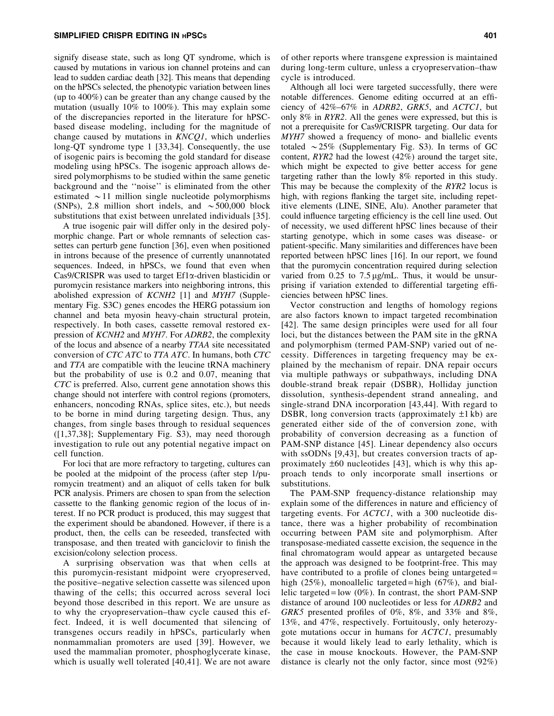signify disease state, such as long QT syndrome, which is caused by mutations in various ion channel proteins and can lead to sudden cardiac death [32]. This means that depending on the hPSCs selected, the phenotypic variation between lines (up to 400%) can be greater than any change caused by the mutation (usually 10% to 100%). This may explain some of the discrepancies reported in the literature for hPSCbased disease modeling, including for the magnitude of change caused by mutations in *KNCQ1*, which underlies long-QT syndrome type 1 [33,34]. Consequently, the use of isogenic pairs is becoming the gold standard for disease modeling using hPSCs. The isogenic approach allows desired polymorphisms to be studied within the same genetic background and the ''noise'' is eliminated from the other estimated  $\sim$  11 million single nucleotide polymorphisms (SNPs), 2.8 million short indels, and  $\sim$  500,000 block substitutions that exist between unrelated individuals [35].

A true isogenic pair will differ only in the desired polymorphic change. Part or whole remnants of selection cassettes can perturb gene function [36], even when positioned in introns because of the presence of currently unannotated sequences. Indeed, in hPSCs, we found that even when Cas9/CRISPR was used to target Ef1x-driven blasticidin or puromycin resistance markers into neighboring introns, this abolished expression of *KCNH2* [1] and *MYH7* (Supplementary Fig. S3C) genes encodes the HERG potassium ion channel and beta myosin heavy-chain structural protein, respectively. In both cases, cassette removal restored expression of *KCNH2* and *MYH7*. For *ADRB2*, the complexity of the locus and absence of a nearby *TTAA* site necessitated conversion of *CTC ATC* to *TTA ATC*. In humans, both *CTC* and *TTA* are compatible with the leucine tRNA machinery but the probability of use is 0.2 and 0.07, meaning that *CTC* is preferred. Also, current gene annotation shows this change should not interfere with control regions (promoters, enhancers, noncoding RNAs, splice sites, etc.), but needs to be borne in mind during targeting design. Thus, any changes, from single bases through to residual sequences ([1,37,38]; Supplementary Fig. S3), may need thorough investigation to rule out any potential negative impact on cell function.

For loci that are more refractory to targeting, cultures can be pooled at the midpoint of the process (after step 1/puromycin treatment) and an aliquot of cells taken for bulk PCR analysis. Primers are chosen to span from the selection cassette to the flanking genomic region of the locus of interest. If no PCR product is produced, this may suggest that the experiment should be abandoned. However, if there is a product, then, the cells can be reseeded, transfected with transposase, and then treated with ganciclovir to finish the excision/colony selection process.

A surprising observation was that when cells at this puromycin-resistant midpoint were cryopreserved, the positive–negative selection cassette was silenced upon thawing of the cells; this occurred across several loci beyond those described in this report. We are unsure as to why the cryopreservation–thaw cycle caused this effect. Indeed, it is well documented that silencing of transgenes occurs readily in hPSCs, particularly when nonmammalian promoters are used [39]. However, we used the mammalian promoter, phosphoglycerate kinase, which is usually well tolerated [40,41]. We are not aware of other reports where transgene expression is maintained during long-term culture, unless a cryopreservation–thaw cycle is introduced.

Although all loci were targeted successfully, there were notable differences. Genome editing occurred at an efficiency of 42%–67% in *ADRB2*, *GRK5*, and *ACTC1*, but only 8% in *RYR2*. All the genes were expressed, but this is not a prerequisite for Cas9/CRISPR targeting. Our data for *MYH7* showed a frequency of mono- and biallelic events totaled  $\sim$  25% (Supplementary Fig. S3). In terms of GC content, *RYR2* had the lowest (42%) around the target site, which might be expected to give better access for gene targeting rather than the lowly 8% reported in this study. This may be because the complexity of the *RYR2* locus is high, with regions flanking the target site, including repetitive elements (LINE, SINE, Alu). Another parameter that could influence targeting efficiency is the cell line used. Out of necessity, we used different hPSC lines because of their starting genotype, which in some cases was disease- or patient-specific. Many similarities and differences have been reported between hPSC lines [16]. In our report, we found that the puromycin concentration required during selection varied from  $0.25$  to  $7.5 \mu g/mL$ . Thus, it would be unsurprising if variation extended to differential targeting efficiencies between hPSC lines.

Vector construction and lengths of homology regions are also factors known to impact targeted recombination [42]. The same design principles were used for all four loci, but the distances between the PAM site in the gRNA and polymorphism (termed PAM-SNP) varied out of necessity. Differences in targeting frequency may be explained by the mechanism of repair. DNA repair occurs via multiple pathways or subpathways, including DNA double-strand break repair (DSBR), Holliday junction dissolution, synthesis-dependent strand annealing, and single-strand DNA incorporation [43,44]. With regard to DSBR, long conversion tracts (approximately  $\pm 1$  kb) are generated either side of the of conversion zone, with probability of conversion decreasing as a function of PAM-SNP distance [45]. Linear dependency also occurs with ssODNs [9,43], but creates conversion tracts of approximately  $\pm 60$  nucleotides [43], which is why this approach tends to only incorporate small insertions or substitutions.

The PAM-SNP frequency-distance relationship may explain some of the differences in nature and efficiency of targeting events. For *ACTC1*, with a 300 nucleotide distance, there was a higher probability of recombination occurring between PAM site and polymorphism. After transposase-mediated cassette excision, the sequence in the final chromatogram would appear as untargeted because the approach was designed to be footprint-free. This may have contributed to a profile of clones being untargeted = high (25%), monoallelic targeted = high (67%), and biallelic targeted = low  $(0\%)$ . In contrast, the short PAM-SNP distance of around 100 nucleotides or less for *ADRB2* and *GRK5* presented profiles of 0%, 8%, and 33% and 8%, 13%, and 47%, respectively. Fortuitously, only heterozygote mutations occur in humans for *ACTC1*, presumably because it would likely lead to early lethality, which is the case in mouse knockouts. However, the PAM-SNP distance is clearly not the only factor, since most (92%)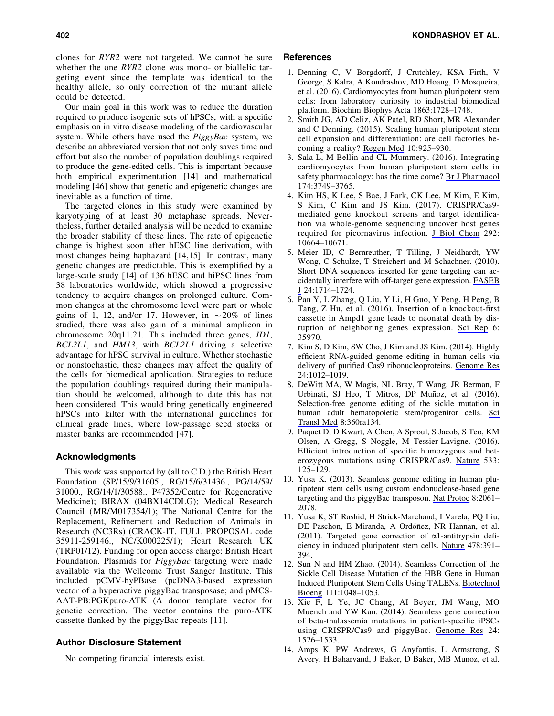clones for *RYR2* were not targeted. We cannot be sure whether the one *RYR2* clone was mono- or biallelic targeting event since the template was identical to the healthy allele, so only correction of the mutant allele could be detected.

Our main goal in this work was to reduce the duration required to produce isogenic sets of hPSCs, with a specific emphasis on in vitro disease modeling of the cardiovascular system. While others have used the *PiggyBac* system, we describe an abbreviated version that not only saves time and effort but also the number of population doublings required to produce the gene-edited cells. This is important because both empirical experimentation [14] and mathematical modeling [46] show that genetic and epigenetic changes are inevitable as a function of time.

The targeted clones in this study were examined by karyotyping of at least 30 metaphase spreads. Nevertheless, further detailed analysis will be needed to examine the broader stability of these lines. The rate of epigenetic change is highest soon after hESC line derivation, with most changes being haphazard [14,15]. In contrast, many genetic changes are predictable. This is exemplified by a large-scale study [14] of 136 hESC and hiPSC lines from 38 laboratories worldwide, which showed a progressive tendency to acquire changes on prolonged culture. Common changes at the chromosome level were part or whole gains of 1, 12, and/or 17. However, in  $\sim 20\%$  of lines studied, there was also gain of a minimal amplicon in chromosome 20q11.21. This included three genes, *ID1*, *BCL2L1*, and *HM13*, with *BCL2L1* driving a selective advantage for hPSC survival in culture. Whether stochastic or nonstochastic, these changes may affect the quality of the cells for biomedical application. Strategies to reduce the population doublings required during their manipulation should be welcomed, although to date this has not been considered. This would bring genetically engineered hPSCs into kilter with the international guidelines for clinical grade lines, where low-passage seed stocks or master banks are recommended [47].

#### Acknowledgments

This work was supported by (all to C.D.) the British Heart Foundation (SP/15/9/31605., RG/15/6/31436., PG/14/59/ 31000., RG/14/1/30588., P47352/Centre for Regenerative Medicine); BIRAX (04BX14CDLG); Medical Research Council (MR/M017354/1); The National Centre for the Replacement, Refinement and Reduction of Animals in Research (NC3Rs) (CRACK-IT. FULL PROPOSAL code 35911-259146., NC/K000225/1); Heart Research UK (TRP01/12). Funding for open access charge: British Heart Foundation. Plasmids for *PiggyBac* targeting were made available via the Wellcome Trust Sanger Institute. This included pCMV-hyPBase (pcDNA3-based expression vector of a hyperactive piggyBac transposase; and pMCS- $AAT-PB:PGKpuro-ATK$  (A donor template vector for genetic correction. The vector contains the puro- $\Delta$ TK cassette flanked by the piggyBac repeats [11].

## Author Disclosure Statement

No competing financial interests exist.

#### References

- 1. Denning C, V Borgdorff, J Crutchley, KSA Firth, V George, S Kalra, A Kondrashov, MD Hoang, D Mosqueira, et al. (2016). Cardiomyocytes from human pluripotent stem cells: from laboratory curiosity to industrial biomedical platform. [Biochim Biophys Acta](https://www.liebertpub.com/action/showLinks?doi=10.1089%2Fscd.2017.0268&pmid=26524115&crossref=10.1016%2Fj.bbamcr.2015.10.014&citationId=p_26) 1863:1728–1748.
- 2. Smith JG, AD Celiz, AK Patel, RD Short, MR Alexander and C Denning. (2015). Scaling human pluripotent stem cell expansion and differentiation: are cell factories becoming a reality? [Regen Med](https://www.liebertpub.com/action/showLinks?doi=10.1089%2Fscd.2017.0268&pmid=26542310&crossref=10.2217%2Frme.15.65&citationId=p_27) 10:925–930.
- 3. Sala L, M Bellin and CL Mummery. (2016). Integrating cardiomyocytes from human pluripotent stem cells in safety pharmacology: has the time come? [Br J Pharmacol](https://www.liebertpub.com/action/showLinks?doi=10.1089%2Fscd.2017.0268&pmid=27641943&crossref=10.1111%2Fbph.13577&citationId=p_28) 174:3749–3765.
- 4. Kim HS, K Lee, S Bae, J Park, CK Lee, M Kim, E Kim, S Kim, C Kim and JS Kim. (2017). CRISPR/Cas9 mediated gene knockout screens and target identification via whole-genome sequencing uncover host genes required for picornavirus infection. [J Biol Chem](https://www.liebertpub.com/action/showLinks?doi=10.1089%2Fscd.2017.0268&pmid=28446605&crossref=10.1074%2Fjbc.M117.782425&citationId=p_29) 292: 10664–10671.
- 5. Meier ID, C Bernreuther, T Tilling, J Neidhardt, YW Wong, C Schulze, T Streichert and M Schachner. (2010). Short DNA sequences inserted for gene targeting can accidentally interfere with off-target gene expression. [FASEB](https://www.liebertpub.com/action/showLinks?doi=10.1089%2Fscd.2017.0268&pmid=20110269&crossref=10.1096%2Ffj.09-140749&citationId=p_30) [J](https://www.liebertpub.com/action/showLinks?doi=10.1089%2Fscd.2017.0268&pmid=20110269&crossref=10.1096%2Ffj.09-140749&citationId=p_30) 24:1714–1724.
- 6. Pan Y, L Zhang, Q Liu, Y Li, H Guo, Y Peng, H Peng, B Tang, Z Hu, et al. (2016). Insertion of a knockout-first cassette in Ampd1 gene leads to neonatal death by disruption of neighboring genes expression. [Sci Rep](https://www.liebertpub.com/action/showLinks?doi=10.1089%2Fscd.2017.0268&pmid=27775065&crossref=10.1038%2Fsrep35970&citationId=p_31) 6: 35970.
- 7. Kim S, D Kim, SW Cho, J Kim and JS Kim. (2014). Highly efficient RNA-guided genome editing in human cells via delivery of purified Cas9 ribonucleoproteins. [Genome Res](https://www.liebertpub.com/action/showLinks?doi=10.1089%2Fscd.2017.0268&pmid=24696461&crossref=10.1101%2Fgr.171322.113&citationId=p_32) 24:1012–1019.
- 8. DeWitt MA, W Magis, NL Bray, T Wang, JR Berman, F Urbinati, SJ Heo, T Mitros, DP Muñoz, et al. (2016). Selection-free genome editing of the sickle mutation in human adult hematopoietic stem/progenitor cells. [Sci](https://www.liebertpub.com/action/showLinks?doi=10.1089%2Fscd.2017.0268&crossref=10.1126%2Fscitranslmed.aaf9336&citationId=p_33) [Transl Med](https://www.liebertpub.com/action/showLinks?doi=10.1089%2Fscd.2017.0268&crossref=10.1126%2Fscitranslmed.aaf9336&citationId=p_33) 8:360ra134.
- 9. Paquet D, D Kwart, A Chen, A Sproul, S Jacob, S Teo, KM Olsen, A Gregg, S Noggle, M Tessier-Lavigne. (2016). Efficient introduction of specific homozygous and heterozygous mutations using CRISPR/Cas9. [Nature](https://www.liebertpub.com/action/showLinks?doi=10.1089%2Fscd.2017.0268&pmid=27120160&crossref=10.1038%2Fnature17664&citationId=p_34) 533: 125–129.
- 10. Yusa K. (2013). Seamless genome editing in human pluripotent stem cells using custom endonuclease-based gene targeting and the piggyBac transposon. [Nat Protoc](https://www.liebertpub.com/action/showLinks?doi=10.1089%2Fscd.2017.0268&pmid=24071911&crossref=10.1038%2Fnprot.2013.126&citationId=p_35) 8:2061– 2078.
- 11. Yusa K, ST Rashid, H Strick-Marchand, I Varela, PQ Liu, DE Paschon, E Miranda, A Ordóñez, NR Hannan, et al. (2011). Targeted gene correction of  $\alpha$ 1-antitrypsin deficiency in induced pluripotent stem cells. [Nature](https://www.liebertpub.com/action/showLinks?doi=10.1089%2Fscd.2017.0268&pmid=21993621&crossref=10.1038%2Fnature10424&citationId=p_36) 478:391– 394.
- 12. Sun N and HM Zhao. (2014). Seamless Correction of the Sickle Cell Disease Mutation of the HBB Gene in Human Induced Pluripotent Stem Cells Using TALENs. [Biotechnol](https://www.liebertpub.com/action/showLinks?doi=10.1089%2Fscd.2017.0268&pmid=23928856&crossref=10.1002%2Fbit.25018&citationId=p_37) [Bioeng](https://www.liebertpub.com/action/showLinks?doi=10.1089%2Fscd.2017.0268&pmid=23928856&crossref=10.1002%2Fbit.25018&citationId=p_37) 111:1048–1053.
- 13. Xie F, L Ye, JC Chang, AI Beyer, JM Wang, MO Muench and YW Kan. (2014). Seamless gene correction of beta-thalassemia mutations in patient-specific iPSCs using CRISPR/Cas9 and piggyBac. [Genome Res](https://www.liebertpub.com/action/showLinks?doi=10.1089%2Fscd.2017.0268&pmid=25096406&crossref=10.1101%2Fgr.173427.114&citationId=p_38) 24: 1526–1533.
- 14. Amps K, PW Andrews, G Anyfantis, L Armstrong, S Avery, H Baharvand, J Baker, D Baker, MB Munoz, et al.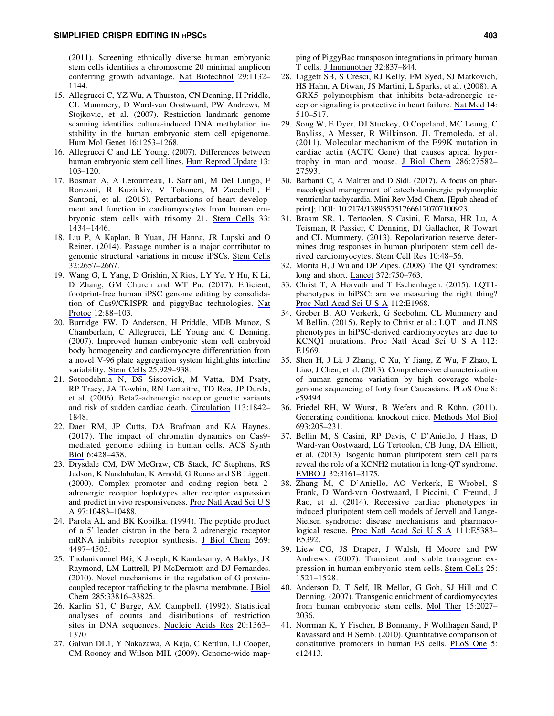(2011). Screening ethnically diverse human embryonic stem cells identifies a chromosome 20 minimal amplicon conferring growth advantage. [Nat Biotechnol](https://www.liebertpub.com/action/showLinks?doi=10.1089%2Fscd.2017.0268&pmid=22119741&crossref=10.1038%2Fnbt.2051&citationId=p_39) 29:1132– 1144.

- 15. Allegrucci C, YZ Wu, A Thurston, CN Denning, H Priddle, CL Mummery, D Ward-van Oostwaard, PW Andrews, M Stojkovic, et al. (2007). Restriction landmark genome scanning identifies culture-induced DNA methylation instability in the human embryonic stem cell epigenome. [Hum Mol Genet](https://www.liebertpub.com/action/showLinks?doi=10.1089%2Fscd.2017.0268&pmid=17409196&crossref=10.1093%2Fhmg%2Fddm074&citationId=p_40) 16:1253–1268.
- 16. Allegrucci C and LE Young. (2007). Differences between human embryonic stem cell lines. [Hum Reprod Update](https://www.liebertpub.com/action/showLinks?doi=10.1089%2Fscd.2017.0268&pmid=16936306&crossref=10.1093%2Fhumupd%2Fdml041&citationId=p_41) 13: 103–120.
- 17. Bosman A, A Letourneau, L Sartiani, M Del Lungo, F Ronzoni, R Kuziakiv, V Tohonen, M Zucchelli, F Santoni, et al. (2015). Perturbations of heart development and function in cardiomyocytes from human embryonic stem cells with trisomy 21. [Stem Cells](https://www.liebertpub.com/action/showLinks?doi=10.1089%2Fscd.2017.0268&pmid=25645121&crossref=10.1002%2Fstem.1961&citationId=p_42) 33: 1434–1446.
- 18. Liu P, A Kaplan, B Yuan, JH Hanna, JR Lupski and O Reiner. (2014). Passage number is a major contributor to genomic structural variations in mouse iPSCs. [Stem Cells](https://www.liebertpub.com/action/showLinks?doi=10.1089%2Fscd.2017.0268&pmid=24965231&crossref=10.1002%2Fstem.1779&citationId=p_43) 32:2657–2667.
- 19. Wang G, L Yang, D Grishin, X Rios, LY Ye, Y Hu, K Li, D Zhang, GM Church and WT Pu. (2017). Efficient, footprint-free human iPSC genome editing by consolida-tion of Cas9/CRISPR and piggyBac technologies. [Nat](https://www.liebertpub.com/action/showLinks?doi=10.1089%2Fscd.2017.0268&pmid=27929521&crossref=10.1038%2Fnprot.2016.152&citationId=p_44) [Protoc](https://www.liebertpub.com/action/showLinks?doi=10.1089%2Fscd.2017.0268&pmid=27929521&crossref=10.1038%2Fnprot.2016.152&citationId=p_44) 12:88–103.
- 20. Burridge PW, D Anderson, H Priddle, MDB Munoz, S Chamberlain, C Allegrucci, LE Young and C Denning. (2007). Improved human embryonic stem cell embryoid body homogeneity and cardiomyocyte differentiation from a novel V-96 plate aggregation system highlights interline variability. [Stem Cells](https://www.liebertpub.com/action/showLinks?doi=10.1089%2Fscd.2017.0268&pmid=17185609&crossref=10.1634%2Fstemcells.2006-0598&citationId=p_45) 25:929–938.
- 21. Sotoodehnia N, DS Siscovick, M Vatta, BM Psaty, RP Tracy, JA Towbin, RN Lemaitre, TD Rea, JP Durda, et al. (2006). Beta2-adrenergic receptor genetic variants and risk of sudden cardiac death. [Circulation](https://www.liebertpub.com/action/showLinks?doi=10.1089%2Fscd.2017.0268&pmid=16618831&crossref=10.1161%2FCIRCULATIONAHA.105.582833&citationId=p_46) 113:1842– 1848.
- 22. Daer RM, JP Cutts, DA Brafman and KA Haynes. (2017). The impact of chromatin dynamics on Cas9 mediated genome editing in human cells. [ACS Synth](https://www.liebertpub.com/action/showLinks?doi=10.1089%2Fscd.2017.0268&pmid=27783893&crossref=10.1021%2Facssynbio.5b00299&citationId=p_47) [Biol](https://www.liebertpub.com/action/showLinks?doi=10.1089%2Fscd.2017.0268&pmid=27783893&crossref=10.1021%2Facssynbio.5b00299&citationId=p_47) 6:428–438.
- 23. Drysdale CM, DW McGraw, CB Stack, JC Stephens, RS Judson, K Nandabalan, K Arnold, G Ruano and SB Liggett. (2000). Complex promoter and coding region beta 2 adrenergic receptor haplotypes alter receptor expression and predict in vivo responsiveness. [Proc Natl Acad Sci U S](https://www.liebertpub.com/action/showLinks?doi=10.1089%2Fscd.2017.0268&pmid=10984540&crossref=10.1073%2Fpnas.97.19.10483&citationId=p_48) [A](https://www.liebertpub.com/action/showLinks?doi=10.1089%2Fscd.2017.0268&pmid=10984540&crossref=10.1073%2Fpnas.97.19.10483&citationId=p_48) 97:10483–10488.
- 24. Parola AL and BK Kobilka. (1994). The peptide product of a 5¢ leader cistron in the beta 2 adrenergic receptor mRNA inhibits receptor synthesis. [J Biol Chem](https://www.liebertpub.com/action/showLinks?doi=10.1089%2Fscd.2017.0268&pmid=8308019&citationId=p_49) 269: 4497–4505.
- 25. Tholanikunnel BG, K Joseph, K Kandasamy, A Baldys, JR Raymond, LM Luttrell, PJ McDermott and DJ Fernandes. (2010). Novel mechanisms in the regulation of G proteincoupled receptor trafficking to the plasma membrane. [J Biol](https://www.liebertpub.com/action/showLinks?doi=10.1089%2Fscd.2017.0268&pmid=20739277&crossref=10.1074%2Fjbc.M110.168229&citationId=p_50) [Chem](https://www.liebertpub.com/action/showLinks?doi=10.1089%2Fscd.2017.0268&pmid=20739277&crossref=10.1074%2Fjbc.M110.168229&citationId=p_50) 285:33816–33825.
- 26. Karlin S1, C Burge, AM Campbell. (1992). Statistical analyses of counts and distributions of restriction sites in DNA sequences. [Nucleic Acids Res](https://www.liebertpub.com/action/showLinks?doi=10.1089%2Fscd.2017.0268&pmid=1313968&crossref=10.1093%2Fnar%2F20.6.1363&citationId=p_51) 20:1363– 1370
- 27. Galvan DL1, Y Nakazawa, A Kaja, C Kettlun, LJ Cooper, CM Rooney and Wilson MH. (2009). Genome-wide map-

ping of PiggyBac transposon integrations in primary human T cells. [J Immunother](https://www.liebertpub.com/action/showLinks?doi=10.1089%2Fscd.2017.0268&pmid=19752750&crossref=10.1097%2FCJI.0b013e3181b2914c&citationId=p_52) 32:837–844.

- 28. Liggett SB, S Cresci, RJ Kelly, FM Syed, SJ Matkovich, HS Hahn, A Diwan, JS Martini, L Sparks, et al. (2008). A GRK5 polymorphism that inhibits beta-adrenergic receptor signaling is protective in heart failure. [Nat Med](https://www.liebertpub.com/action/showLinks?doi=10.1089%2Fscd.2017.0268&pmid=18425130&crossref=10.1038%2Fnm1750&citationId=p_53) 14: 510–517.
- 29. Song W, E Dyer, DJ Stuckey, O Copeland, MC Leung, C Bayliss, A Messer, R Wilkinson, JL Tremoleda, et al. (2011). Molecular mechanism of the E99K mutation in cardiac actin (ACTC Gene) that causes apical hypertrophy in man and mouse. [J Biol Chem](https://www.liebertpub.com/action/showLinks?doi=10.1089%2Fscd.2017.0268&pmid=21622575&crossref=10.1074%2Fjbc.M111.252320&citationId=p_54) 286:27582– 27593.
- 30. Barbanti C, A Maltret and D Sidi. (2017). A focus on pharmacological management of catecholaminergic polymorphic ventricular tachycardia. Mini Rev Med Chem. [Epub ahead of print]; DOI: 10.2174/1389557517666170707100923.
- 31. Braam SR, L Tertoolen, S Casini, E Matsa, HR Lu, A Teisman, R Passier, C Denning, DJ Gallacher, R Towart and CL Mummery. (2013). Repolarization reserve determines drug responses in human pluripotent stem cell derived cardiomyocytes. [Stem Cell Res](https://www.liebertpub.com/action/showLinks?doi=10.1089%2Fscd.2017.0268&pmid=23089628&crossref=10.1016%2Fj.scr.2012.08.007&citationId=p_56) 10:48–56.
- 32. Morita H, J Wu and DP Zipes. (2008). The QT syndromes: long and short. [Lancet](https://www.liebertpub.com/action/showLinks?doi=10.1089%2Fscd.2017.0268&pmid=18761222&crossref=10.1016%2FS0140-6736%2808%2961307-0&citationId=p_57) 372:750-763.
- 33. Christ T, A Horvath and T Eschenhagen. (2015). LQT1 phenotypes in hiPSC: are we measuring the right thing? [Proc Natl Acad Sci U S A](https://www.liebertpub.com/action/showLinks?doi=10.1089%2Fscd.2017.0268&pmid=25795242&crossref=10.1073%2Fpnas.1503347112&citationId=p_58) 112:E1968.
- 34. Greber B, AO Verkerk, G Seebohm, CL Mummery and M Bellin. (2015). Reply to Christ et al.: LQT1 and JLNS phenotypes in hiPSC-derived cardiomyocytes are due to KCNQ1 mutations. [Proc Natl Acad Sci U S A](https://www.liebertpub.com/action/showLinks?doi=10.1089%2Fscd.2017.0268&pmid=25795241&crossref=10.1073%2Fpnas.1503762112&citationId=p_59) 112: E1969.
- 35. Shen H, J Li, J Zhang, C Xu, Y Jiang, Z Wu, F Zhao, L Liao, J Chen, et al. (2013). Comprehensive characterization of human genome variation by high coverage wholegenome sequencing of forty four Caucasians. [PLoS One](https://www.liebertpub.com/action/showLinks?doi=10.1089%2Fscd.2017.0268&pmid=23577066&crossref=10.1371%2Fjournal.pone.0059494&citationId=p_60) 8: e59494.
- 36. Friedel RH, W Wurst, B Wefers and R Kühn. (2011). Generating conditional knockout mice. [Methods Mol Biol](https://www.liebertpub.com/action/showLinks?doi=10.1089%2Fscd.2017.0268&pmid=21080282&crossref=10.1007%2F978-1-60761-974-1_12&citationId=p_61) 693:205–231.
- 37. Bellin M, S Casini, RP Davis, C D'Aniello, J Haas, D Ward-van Oostwaard, LG Tertoolen, CB Jung, DA Elliott, et al. (2013). Isogenic human pluripotent stem cell pairs reveal the role of a KCNH2 mutation in long-QT syndrome. [EMBO J](https://www.liebertpub.com/action/showLinks?doi=10.1089%2Fscd.2017.0268&pmid=24213244&crossref=10.1038%2Femboj.2013.240&citationId=p_62) 32:3161–3175.
- 38. Zhang M, C D'Aniello, AO Verkerk, E Wrobel, S Frank, D Ward-van Oostwaard, I Piccini, C Freund, J Rao, et al. (2014). Recessive cardiac phenotypes in induced pluripotent stem cell models of Jervell and Lange-Nielsen syndrome: disease mechanisms and pharmacological rescue. [Proc Natl Acad Sci U S A](https://www.liebertpub.com/action/showLinks?doi=10.1089%2Fscd.2017.0268&pmid=25453094&crossref=10.1073%2Fpnas.1419553111&citationId=p_63) 111:E5383– E5392.
- 39. Liew CG, JS Draper, J Walsh, H Moore and PW Andrews. (2007). Transient and stable transgene expression in human embryonic stem cells. [Stem Cells](https://www.liebertpub.com/action/showLinks?doi=10.1089%2Fscd.2017.0268&pmid=17379764&crossref=10.1634%2Fstemcells.2006-0634&citationId=p_64) 25: 1521–1528.
- 40. Anderson D, T Self, IR Mellor, G Goh, SJ Hill and C Denning. (2007). Transgenic enrichment of cardiomyocytes from human embryonic stem cells. [Mol Ther](https://www.liebertpub.com/action/showLinks?doi=10.1089%2Fscd.2017.0268&pmid=17895862&crossref=10.1038%2Fsj.mt.6300303&citationId=p_65) 15:2027– 2036.
- 41. Norrman K, Y Fischer, B Bonnamy, F Wolfhagen Sand, P Ravassard and H Semb. (2010). Quantitative comparison of constitutive promoters in human ES cells. [PLoS One](https://www.liebertpub.com/action/showLinks?doi=10.1089%2Fscd.2017.0268&pmid=20865032&crossref=10.1371%2Fjournal.pone.0012413&citationId=p_66) 5: e12413.